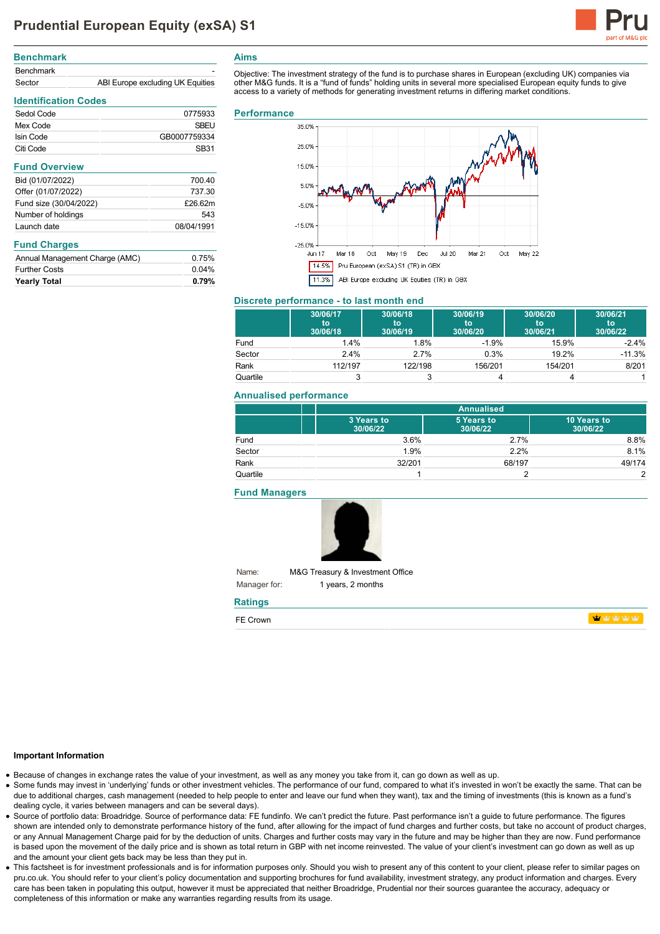

**haby** haby haby

| <b>Benchmark</b> |                                  |
|------------------|----------------------------------|
| <b>Benchmark</b> | -                                |
| Sector           | ABI Europe excluding UK Equities |

Sedol Code 0775933 Mex Code SBEU

Launch date 08/04/1991

Annual Management Charge (AMC) 0.75% Further Costs 0.04% **Yearly Total 0.79%**

**Identification Codes**

**Fund Overview**

**Fund Charges**

# **Aims**

Objective: The investment strategy of the fund is to purchase shares in European (excluding UK) companies via other M&G funds. It is a "fund of funds" holding units in several more specialised European equity funds to give access to a variety of methods for generating investment returns in differing market conditions.

#### **Performance**



#### **Discrete performance - to last month end**

|          | 30/06/17<br>to<br>30/06/18 | 30/06/18<br>to<br>30/06/19 | 30/06/19<br>to<br>30/06/20 | 30/06/20<br>to<br>30/06/21 | 30/06/21<br>to<br>30/06/22 |
|----------|----------------------------|----------------------------|----------------------------|----------------------------|----------------------------|
| Fund     | 1.4%                       | 1.8%                       | $-1.9%$                    | 15.9%                      | $-2.4%$                    |
| Sector   | 2.4%                       | 2.7%                       | 0.3%                       | 19.2%                      | $-11.3%$                   |
| Rank     | 112/197                    | 122/198                    | 156/201                    | 154/201                    | 8/201                      |
| Quartile |                            |                            |                            |                            |                            |

## **Annualised performance**

|          | <b>Annualised</b>      |                        |                         |
|----------|------------------------|------------------------|-------------------------|
|          | 3 Years to<br>30/06/22 | 5 Years to<br>30/06/22 | 10 Years to<br>30/06/22 |
| Fund     | 3.6%                   | 2.7%                   | 8.8%                    |
| Sector   | 1.9%                   | 2.2%                   | 8.1%                    |
| Rank     | 32/201                 | 68/197                 | 49/174                  |
| Quartile |                        |                        | $\mathcal{P}$           |

#### **Fund Managers**



Name: Manager for: M&G Treasury & Investment Office 1 years, 2 months

# **Ratings**

| FE Crown |  |  |  |
|----------|--|--|--|
|          |  |  |  |

#### **Important Information**

- Because of changes in exchange rates the value of your investment, as well as any money you take from it, can go down as well as up.
- Some funds may invest in 'underlying' funds or other investment vehicles. The performance of our fund, compared to what it's invested in won't be exactly the same. That can be due to additional charges, cash management (needed to help people to enter and leave our fund when they want), tax and the timing of investments (this is known as a fund's dealing cycle, it varies between managers and can be several days).
- Source of portfolio data: Broadridge. Source of performance data: FE fundinfo. We can't predict the future. Past performance isn't a guide to future performance. The figures shown are intended only to demonstrate performance history of the fund, after allowing for the impact of fund charges and further costs, but take no account of product charges, or any Annual Management Charge paid for by the deduction of units. Charges and further costs may vary in the future and may be higher than they are now. Fund performance is based upon the movement of the daily price and is shown as total return in GBP with net income reinvested. The value of your client's investment can go down as well as up and the amount your client gets back may be less than they put in.
- This factsheet is for investment professionals and is for information purposes only. Should you wish to present any of this content to your client, please refer to similar pages on pru.co.uk. You should refer to your client's policy documentation and supporting brochures for fund availability, investment strategy, any product information and charges. Every care has been taken in populating this output, however it must be appreciated that neither Broadridge. Prudential nor their sources guarantee the accuracy, adequacy or completeness of this information or make any warranties regarding results from its usage.